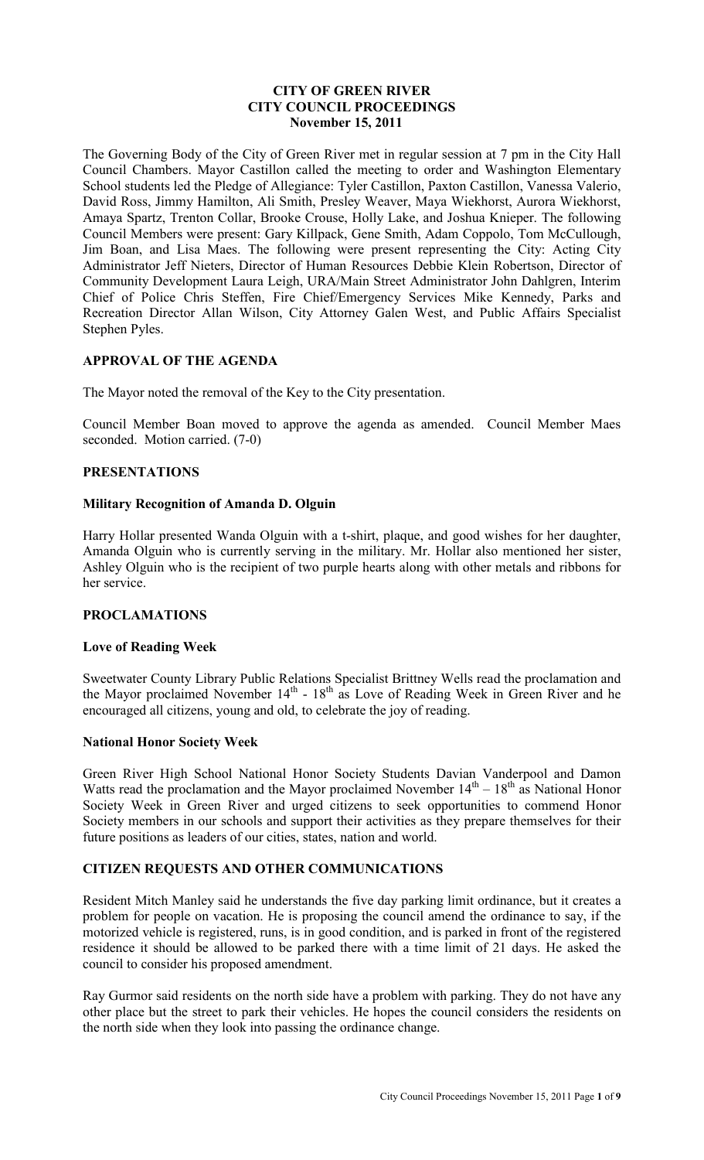## **CITY OF GREEN RIVER CITY COUNCIL PROCEEDINGS November 15, 2011**

The Governing Body of the City of Green River met in regular session at 7 pm in the City Hall Council Chambers. Mayor Castillon called the meeting to order and Washington Elementary School students led the Pledge of Allegiance: Tyler Castillon, Paxton Castillon, Vanessa Valerio, David Ross, Jimmy Hamilton, Ali Smith, Presley Weaver, Maya Wiekhorst, Aurora Wiekhorst, Amaya Spartz, Trenton Collar, Brooke Crouse, Holly Lake, and Joshua Knieper. The following Council Members were present: Gary Killpack, Gene Smith, Adam Coppolo, Tom McCullough, Jim Boan, and Lisa Maes. The following were present representing the City: Acting City Administrator Jeff Nieters, Director of Human Resources Debbie Klein Robertson, Director of Community Development Laura Leigh, URA/Main Street Administrator John Dahlgren, Interim Chief of Police Chris Steffen, Fire Chief/Emergency Services Mike Kennedy, Parks and Recreation Director Allan Wilson, City Attorney Galen West, and Public Affairs Specialist Stephen Pyles.

## **APPROVAL OF THE AGENDA**

The Mayor noted the removal of the Key to the City presentation.

Council Member Boan moved to approve the agenda as amended. Council Member Maes seconded. Motion carried. (7-0)

## **PRESENTATIONS**

## **Military Recognition of Amanda D. Olguin**

Harry Hollar presented Wanda Olguin with a t-shirt, plaque, and good wishes for her daughter, Amanda Olguin who is currently serving in the military. Mr. Hollar also mentioned her sister, Ashley Olguin who is the recipient of two purple hearts along with other metals and ribbons for her service.

## **PROCLAMATIONS**

#### **Love of Reading Week**

Sweetwater County Library Public Relations Specialist Brittney Wells read the proclamation and the Mayor proclaimed November  $14<sup>th</sup>$  -  $18<sup>th</sup>$  as Love of Reading Week in Green River and he encouraged all citizens, young and old, to celebrate the joy of reading.

## **National Honor Society Week**

Green River High School National Honor Society Students Davian Vanderpool and Damon Watts read the proclamation and the Mayor proclaimed November  $14<sup>th</sup> - 18<sup>th</sup>$  as National Honor Society Week in Green River and urged citizens to seek opportunities to commend Honor Society members in our schools and support their activities as they prepare themselves for their future positions as leaders of our cities, states, nation and world.

## **CITIZEN REQUESTS AND OTHER COMMUNICATIONS**

Resident Mitch Manley said he understands the five day parking limit ordinance, but it creates a problem for people on vacation. He is proposing the council amend the ordinance to say, if the motorized vehicle is registered, runs, is in good condition, and is parked in front of the registered residence it should be allowed to be parked there with a time limit of 21 days. He asked the council to consider his proposed amendment.

Ray Gurmor said residents on the north side have a problem with parking. They do not have any other place but the street to park their vehicles. He hopes the council considers the residents on the north side when they look into passing the ordinance change.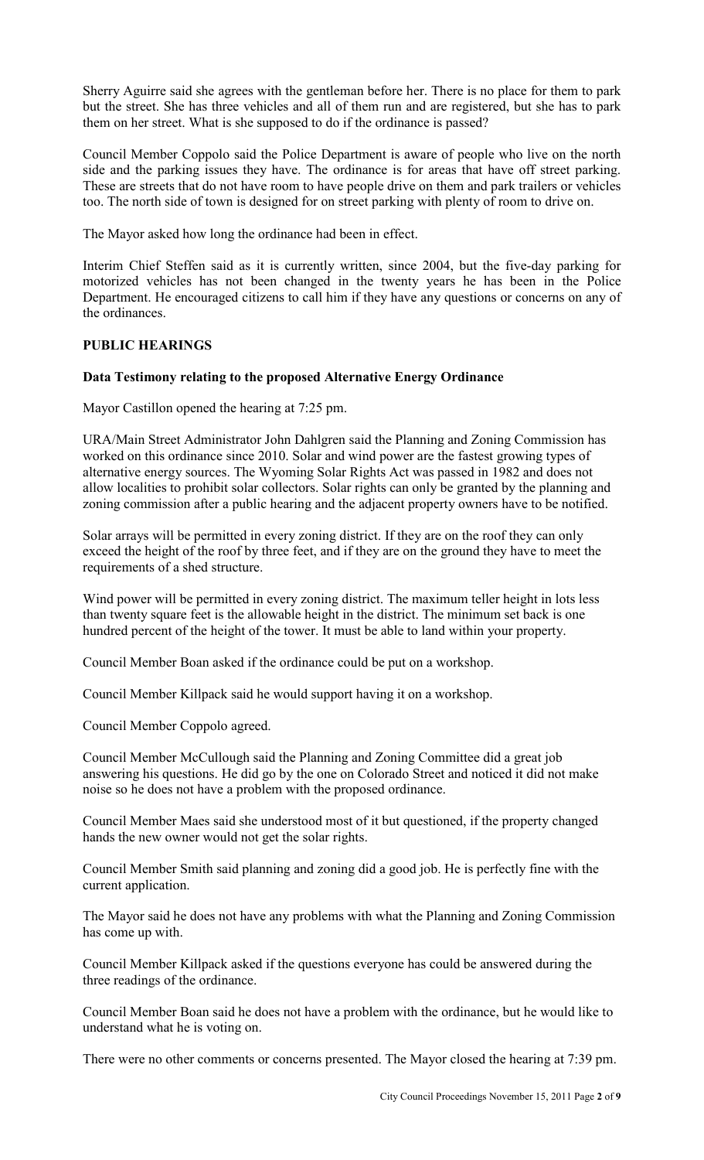Sherry Aguirre said she agrees with the gentleman before her. There is no place for them to park but the street. She has three vehicles and all of them run and are registered, but she has to park them on her street. What is she supposed to do if the ordinance is passed?

Council Member Coppolo said the Police Department is aware of people who live on the north side and the parking issues they have. The ordinance is for areas that have off street parking. These are streets that do not have room to have people drive on them and park trailers or vehicles too. The north side of town is designed for on street parking with plenty of room to drive on.

The Mayor asked how long the ordinance had been in effect.

Interim Chief Steffen said as it is currently written, since 2004, but the five-day parking for motorized vehicles has not been changed in the twenty years he has been in the Police Department. He encouraged citizens to call him if they have any questions or concerns on any of the ordinances.

## **PUBLIC HEARINGS**

#### **Data Testimony relating to the proposed Alternative Energy Ordinance**

Mayor Castillon opened the hearing at 7:25 pm.

URA/Main Street Administrator John Dahlgren said the Planning and Zoning Commission has worked on this ordinance since 2010. Solar and wind power are the fastest growing types of alternative energy sources. The Wyoming Solar Rights Act was passed in 1982 and does not allow localities to prohibit solar collectors. Solar rights can only be granted by the planning and zoning commission after a public hearing and the adjacent property owners have to be notified.

Solar arrays will be permitted in every zoning district. If they are on the roof they can only exceed the height of the roof by three feet, and if they are on the ground they have to meet the requirements of a shed structure.

Wind power will be permitted in every zoning district. The maximum teller height in lots less than twenty square feet is the allowable height in the district. The minimum set back is one hundred percent of the height of the tower. It must be able to land within your property.

Council Member Boan asked if the ordinance could be put on a workshop.

Council Member Killpack said he would support having it on a workshop.

Council Member Coppolo agreed.

Council Member McCullough said the Planning and Zoning Committee did a great job answering his questions. He did go by the one on Colorado Street and noticed it did not make noise so he does not have a problem with the proposed ordinance.

Council Member Maes said she understood most of it but questioned, if the property changed hands the new owner would not get the solar rights.

Council Member Smith said planning and zoning did a good job. He is perfectly fine with the current application.

The Mayor said he does not have any problems with what the Planning and Zoning Commission has come up with.

Council Member Killpack asked if the questions everyone has could be answered during the three readings of the ordinance.

Council Member Boan said he does not have a problem with the ordinance, but he would like to understand what he is voting on.

There were no other comments or concerns presented. The Mayor closed the hearing at 7:39 pm.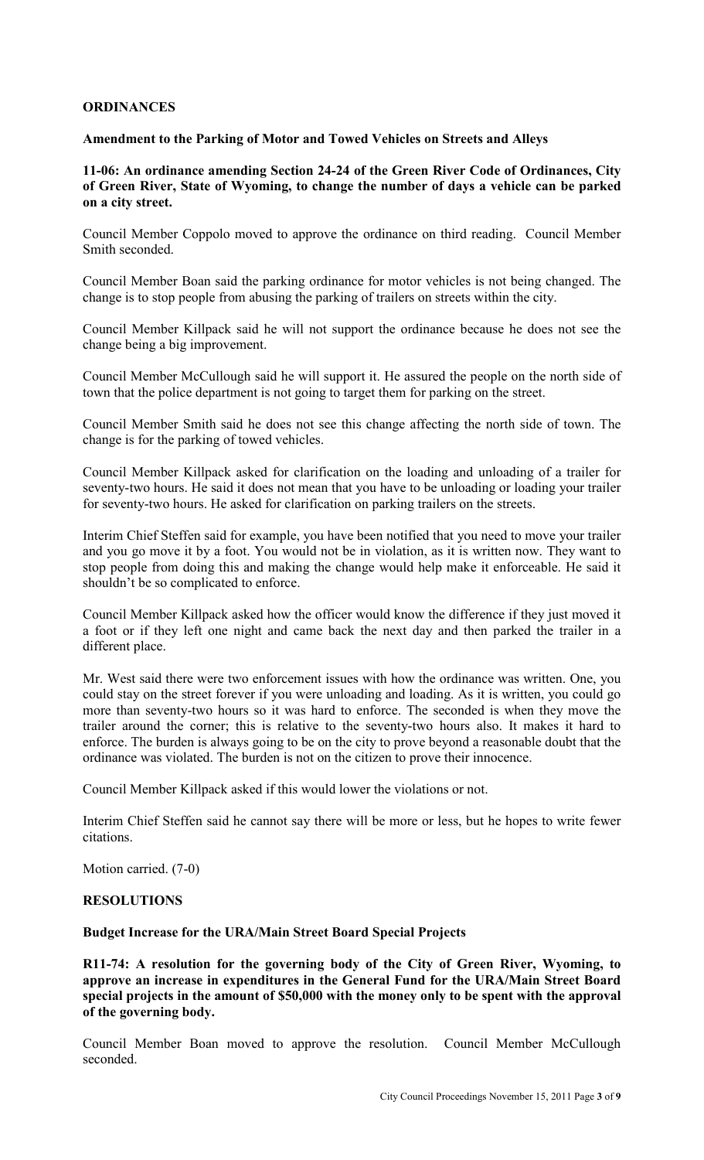## **ORDINANCES**

### **Amendment to the Parking of Motor and Towed Vehicles on Streets and Alleys**

## **11-06: An ordinance amending Section 24-24 of the Green River Code of Ordinances, City of Green River, State of Wyoming, to change the number of days a vehicle can be parked on a city street.**

Council Member Coppolo moved to approve the ordinance on third reading. Council Member Smith seconded.

Council Member Boan said the parking ordinance for motor vehicles is not being changed. The change is to stop people from abusing the parking of trailers on streets within the city.

Council Member Killpack said he will not support the ordinance because he does not see the change being a big improvement.

Council Member McCullough said he will support it. He assured the people on the north side of town that the police department is not going to target them for parking on the street.

Council Member Smith said he does not see this change affecting the north side of town. The change is for the parking of towed vehicles.

Council Member Killpack asked for clarification on the loading and unloading of a trailer for seventy-two hours. He said it does not mean that you have to be unloading or loading your trailer for seventy-two hours. He asked for clarification on parking trailers on the streets.

Interim Chief Steffen said for example, you have been notified that you need to move your trailer and you go move it by a foot. You would not be in violation, as it is written now. They want to stop people from doing this and making the change would help make it enforceable. He said it shouldn't be so complicated to enforce.

Council Member Killpack asked how the officer would know the difference if they just moved it a foot or if they left one night and came back the next day and then parked the trailer in a different place.

Mr. West said there were two enforcement issues with how the ordinance was written. One, you could stay on the street forever if you were unloading and loading. As it is written, you could go more than seventy-two hours so it was hard to enforce. The seconded is when they move the trailer around the corner; this is relative to the seventy-two hours also. It makes it hard to enforce. The burden is always going to be on the city to prove beyond a reasonable doubt that the ordinance was violated. The burden is not on the citizen to prove their innocence.

Council Member Killpack asked if this would lower the violations or not.

Interim Chief Steffen said he cannot say there will be more or less, but he hopes to write fewer citations.

Motion carried. (7-0)

## **RESOLUTIONS**

#### **Budget Increase for the URA/Main Street Board Special Projects**

**R11-74: A resolution for the governing body of the City of Green River, Wyoming, to approve an increase in expenditures in the General Fund for the URA/Main Street Board special projects in the amount of \$50,000 with the money only to be spent with the approval of the governing body.** 

Council Member Boan moved to approve the resolution. Council Member McCullough seconded.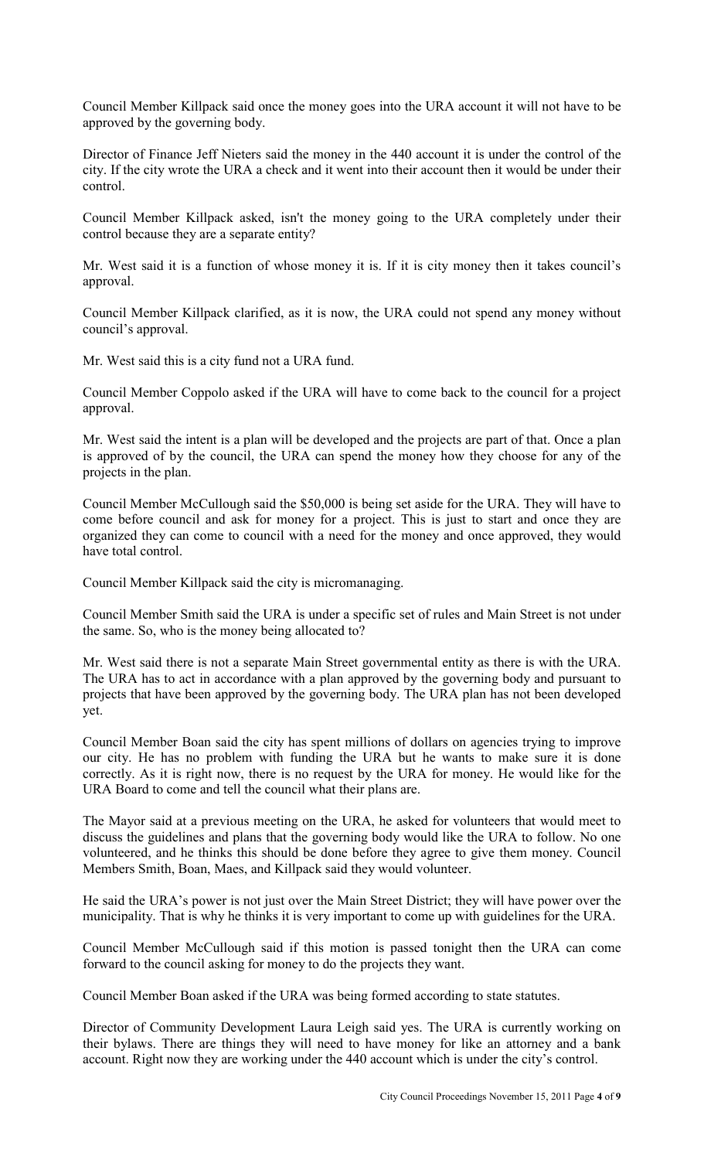Council Member Killpack said once the money goes into the URA account it will not have to be approved by the governing body.

Director of Finance Jeff Nieters said the money in the 440 account it is under the control of the city. If the city wrote the URA a check and it went into their account then it would be under their control.

Council Member Killpack asked, isn't the money going to the URA completely under their control because they are a separate entity?

Mr. West said it is a function of whose money it is. If it is city money then it takes council's approval.

Council Member Killpack clarified, as it is now, the URA could not spend any money without council's approval.

Mr. West said this is a city fund not a URA fund.

Council Member Coppolo asked if the URA will have to come back to the council for a project approval.

Mr. West said the intent is a plan will be developed and the projects are part of that. Once a plan is approved of by the council, the URA can spend the money how they choose for any of the projects in the plan.

Council Member McCullough said the \$50,000 is being set aside for the URA. They will have to come before council and ask for money for a project. This is just to start and once they are organized they can come to council with a need for the money and once approved, they would have total control.

Council Member Killpack said the city is micromanaging.

Council Member Smith said the URA is under a specific set of rules and Main Street is not under the same. So, who is the money being allocated to?

Mr. West said there is not a separate Main Street governmental entity as there is with the URA. The URA has to act in accordance with a plan approved by the governing body and pursuant to projects that have been approved by the governing body. The URA plan has not been developed yet.

Council Member Boan said the city has spent millions of dollars on agencies trying to improve our city. He has no problem with funding the URA but he wants to make sure it is done correctly. As it is right now, there is no request by the URA for money. He would like for the URA Board to come and tell the council what their plans are.

The Mayor said at a previous meeting on the URA, he asked for volunteers that would meet to discuss the guidelines and plans that the governing body would like the URA to follow. No one volunteered, and he thinks this should be done before they agree to give them money. Council Members Smith, Boan, Maes, and Killpack said they would volunteer.

He said the URA's power is not just over the Main Street District; they will have power over the municipality. That is why he thinks it is very important to come up with guidelines for the URA.

Council Member McCullough said if this motion is passed tonight then the URA can come forward to the council asking for money to do the projects they want.

Council Member Boan asked if the URA was being formed according to state statutes.

Director of Community Development Laura Leigh said yes. The URA is currently working on their bylaws. There are things they will need to have money for like an attorney and a bank account. Right now they are working under the 440 account which is under the city's control.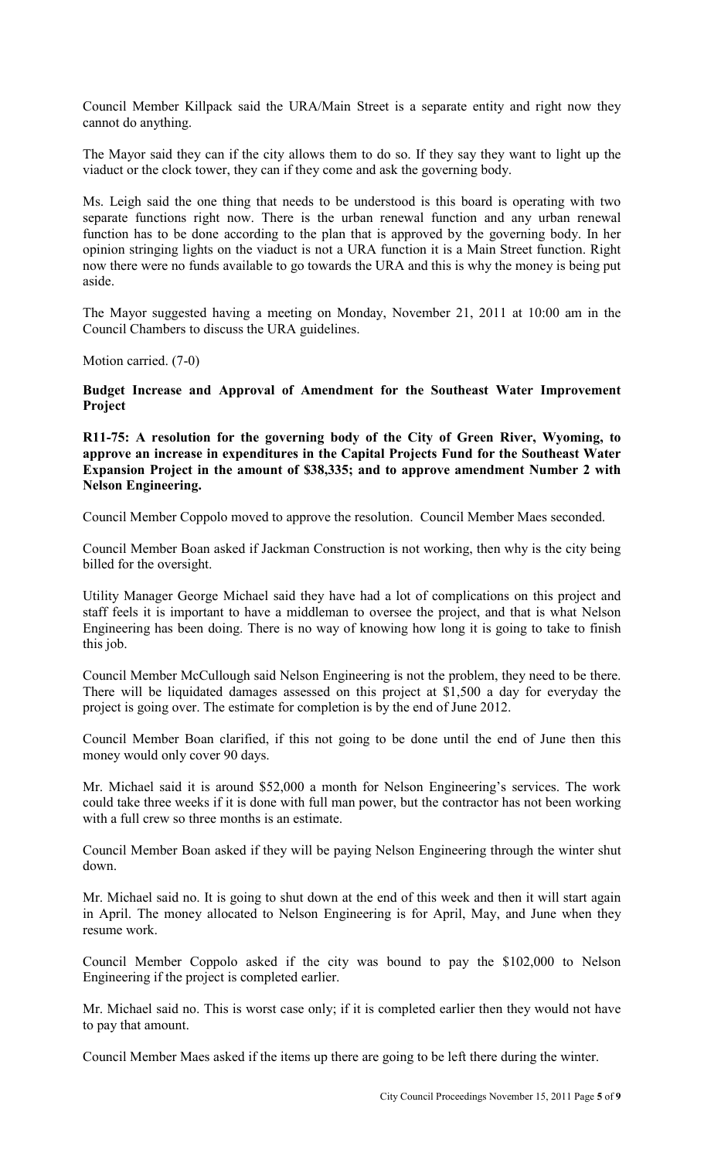Council Member Killpack said the URA/Main Street is a separate entity and right now they cannot do anything.

The Mayor said they can if the city allows them to do so. If they say they want to light up the viaduct or the clock tower, they can if they come and ask the governing body.

Ms. Leigh said the one thing that needs to be understood is this board is operating with two separate functions right now. There is the urban renewal function and any urban renewal function has to be done according to the plan that is approved by the governing body. In her opinion stringing lights on the viaduct is not a URA function it is a Main Street function. Right now there were no funds available to go towards the URA and this is why the money is being put aside.

The Mayor suggested having a meeting on Monday, November 21, 2011 at 10:00 am in the Council Chambers to discuss the URA guidelines.

Motion carried. (7-0)

**Budget Increase and Approval of Amendment for the Southeast Water Improvement Project** 

**R11-75: A resolution for the governing body of the City of Green River, Wyoming, to approve an increase in expenditures in the Capital Projects Fund for the Southeast Water Expansion Project in the amount of \$38,335; and to approve amendment Number 2 with Nelson Engineering.**

Council Member Coppolo moved to approve the resolution. Council Member Maes seconded.

Council Member Boan asked if Jackman Construction is not working, then why is the city being billed for the oversight.

Utility Manager George Michael said they have had a lot of complications on this project and staff feels it is important to have a middleman to oversee the project, and that is what Nelson Engineering has been doing. There is no way of knowing how long it is going to take to finish this job.

Council Member McCullough said Nelson Engineering is not the problem, they need to be there. There will be liquidated damages assessed on this project at \$1,500 a day for everyday the project is going over. The estimate for completion is by the end of June 2012.

Council Member Boan clarified, if this not going to be done until the end of June then this money would only cover 90 days.

Mr. Michael said it is around \$52,000 a month for Nelson Engineering's services. The work could take three weeks if it is done with full man power, but the contractor has not been working with a full crew so three months is an estimate.

Council Member Boan asked if they will be paying Nelson Engineering through the winter shut down.

Mr. Michael said no. It is going to shut down at the end of this week and then it will start again in April. The money allocated to Nelson Engineering is for April, May, and June when they resume work.

Council Member Coppolo asked if the city was bound to pay the \$102,000 to Nelson Engineering if the project is completed earlier.

Mr. Michael said no. This is worst case only; if it is completed earlier then they would not have to pay that amount.

Council Member Maes asked if the items up there are going to be left there during the winter.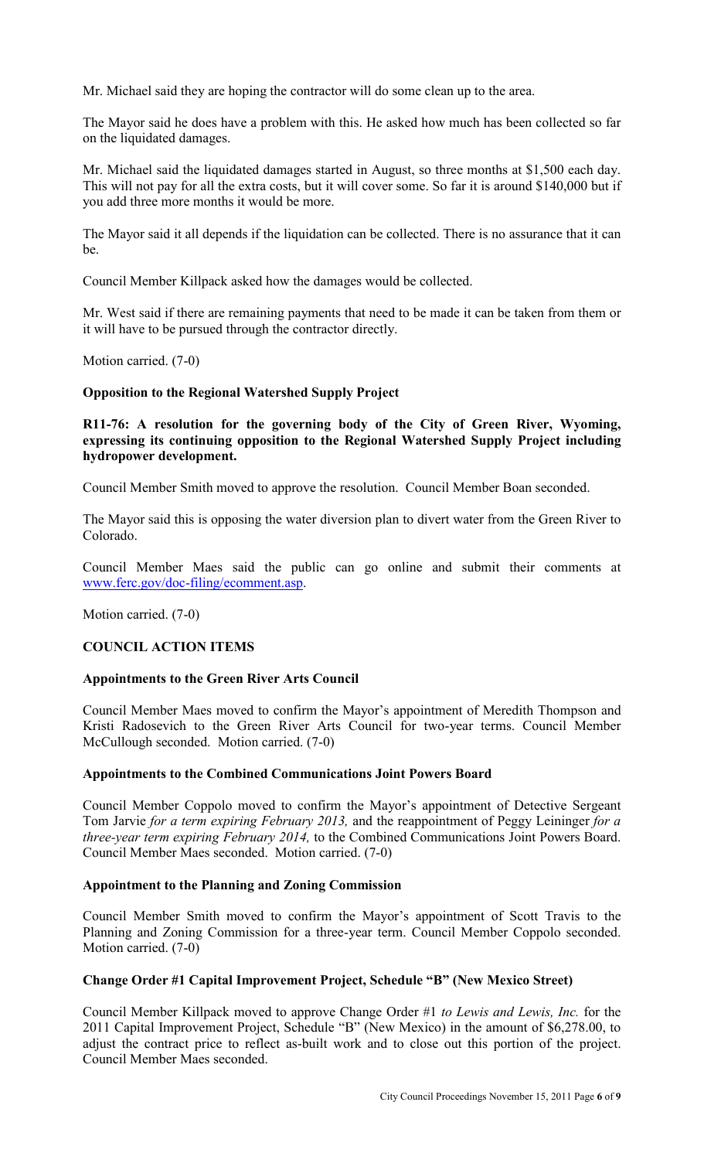Mr. Michael said they are hoping the contractor will do some clean up to the area.

The Mayor said he does have a problem with this. He asked how much has been collected so far on the liquidated damages.

Mr. Michael said the liquidated damages started in August, so three months at \$1,500 each day. This will not pay for all the extra costs, but it will cover some. So far it is around \$140,000 but if you add three more months it would be more.

The Mayor said it all depends if the liquidation can be collected. There is no assurance that it can be.

Council Member Killpack asked how the damages would be collected.

Mr. West said if there are remaining payments that need to be made it can be taken from them or it will have to be pursued through the contractor directly.

Motion carried. (7-0)

## **Opposition to the Regional Watershed Supply Project**

**R11-76: A resolution for the governing body of the City of Green River, Wyoming, expressing its continuing opposition to the Regional Watershed Supply Project including hydropower development.** 

Council Member Smith moved to approve the resolution. Council Member Boan seconded.

The Mayor said this is opposing the water diversion plan to divert water from the Green River to Colorado.

Council Member Maes said the public can go online and submit their comments at www.ferc.gov/doc-filing/ecomment.asp.

Motion carried. (7-0)

## **COUNCIL ACTION ITEMS**

## **Appointments to the Green River Arts Council**

Council Member Maes moved to confirm the Mayor's appointment of Meredith Thompson and Kristi Radosevich to the Green River Arts Council for two-year terms. Council Member McCullough seconded. Motion carried. (7-0)

## **Appointments to the Combined Communications Joint Powers Board**

Council Member Coppolo moved to confirm the Mayor's appointment of Detective Sergeant Tom Jarvie *for a term expiring February 2013,* and the reappointment of Peggy Leininger *for a three-year term expiring February 2014,* to the Combined Communications Joint Powers Board. Council Member Maes seconded. Motion carried. (7-0)

#### **Appointment to the Planning and Zoning Commission**

Council Member Smith moved to confirm the Mayor's appointment of Scott Travis to the Planning and Zoning Commission for a three-year term. Council Member Coppolo seconded. Motion carried. (7-0)

## **Change Order #1 Capital Improvement Project, Schedule "B" (New Mexico Street)**

Council Member Killpack moved to approve Change Order #1 *to Lewis and Lewis, Inc.* for the 2011 Capital Improvement Project, Schedule "B" (New Mexico) in the amount of \$6,278.00, to adjust the contract price to reflect as-built work and to close out this portion of the project. Council Member Maes seconded.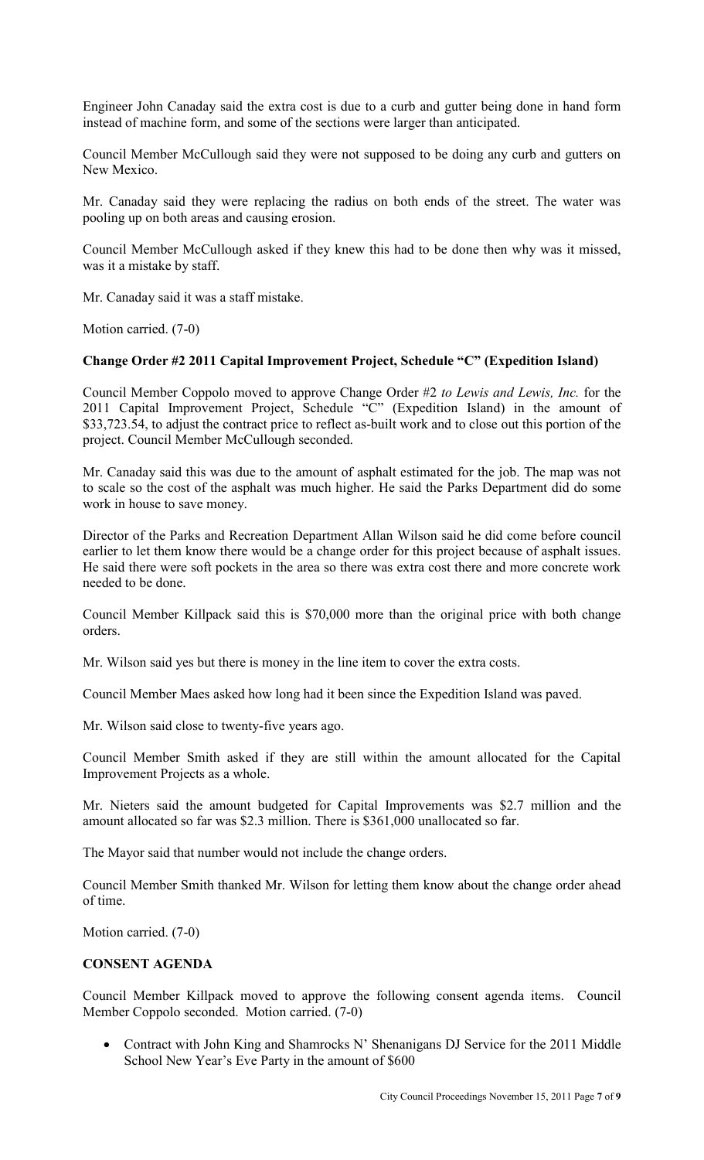Engineer John Canaday said the extra cost is due to a curb and gutter being done in hand form instead of machine form, and some of the sections were larger than anticipated.

Council Member McCullough said they were not supposed to be doing any curb and gutters on New Mexico.

Mr. Canaday said they were replacing the radius on both ends of the street. The water was pooling up on both areas and causing erosion.

Council Member McCullough asked if they knew this had to be done then why was it missed, was it a mistake by staff.

Mr. Canaday said it was a staff mistake.

Motion carried. (7-0)

#### **Change Order #2 2011 Capital Improvement Project, Schedule "C" (Expedition Island)**

Council Member Coppolo moved to approve Change Order #2 *to Lewis and Lewis, Inc.* for the 2011 Capital Improvement Project, Schedule "C" (Expedition Island) in the amount of \$33,723.54, to adjust the contract price to reflect as-built work and to close out this portion of the project. Council Member McCullough seconded.

Mr. Canaday said this was due to the amount of asphalt estimated for the job. The map was not to scale so the cost of the asphalt was much higher. He said the Parks Department did do some work in house to save money.

Director of the Parks and Recreation Department Allan Wilson said he did come before council earlier to let them know there would be a change order for this project because of asphalt issues. He said there were soft pockets in the area so there was extra cost there and more concrete work needed to be done.

Council Member Killpack said this is \$70,000 more than the original price with both change orders.

Mr. Wilson said yes but there is money in the line item to cover the extra costs.

Council Member Maes asked how long had it been since the Expedition Island was paved.

Mr. Wilson said close to twenty-five years ago.

Council Member Smith asked if they are still within the amount allocated for the Capital Improvement Projects as a whole.

Mr. Nieters said the amount budgeted for Capital Improvements was \$2.7 million and the amount allocated so far was \$2.3 million. There is \$361,000 unallocated so far.

The Mayor said that number would not include the change orders.

Council Member Smith thanked Mr. Wilson for letting them know about the change order ahead of time.

Motion carried. (7-0)

## **CONSENT AGENDA**

Council Member Killpack moved to approve the following consent agenda items. Council Member Coppolo seconded. Motion carried. (7-0)

• Contract with John King and Shamrocks N' Shenanigans DJ Service for the 2011 Middle School New Year's Eve Party in the amount of \$600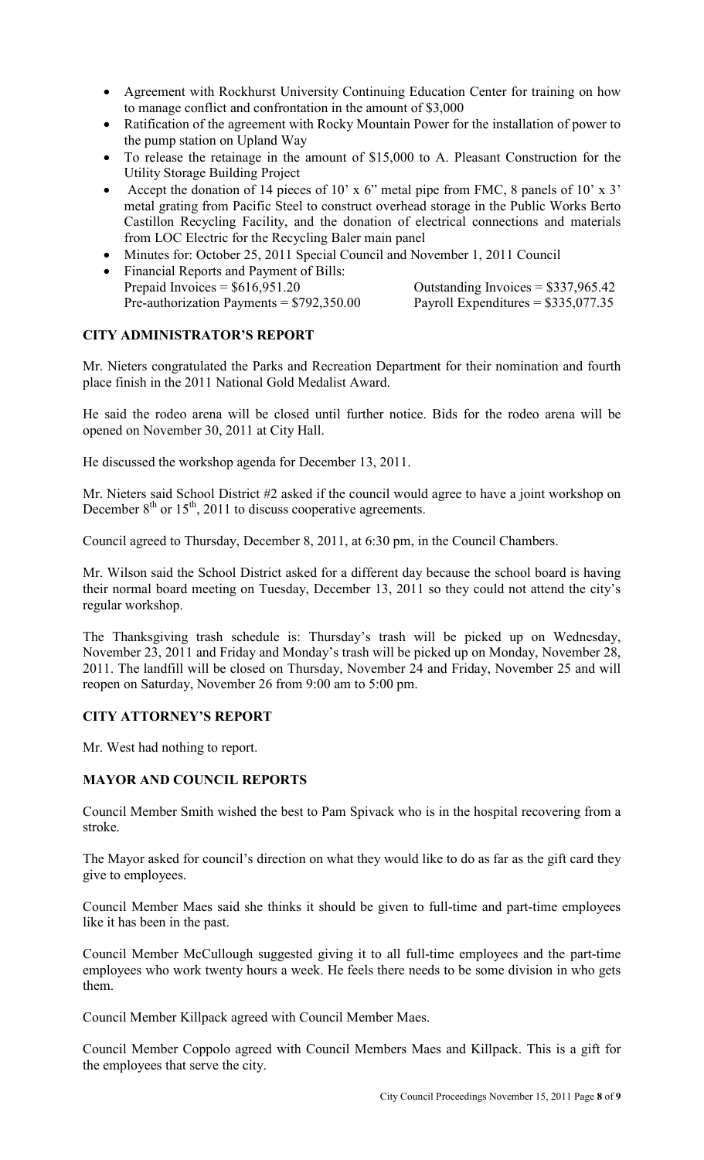- Agreement with Rockhurst University Continuing Education Center for training on how to manage conflict and confrontation in the amount of \$3,000
- Ratification of the agreement with Rocky Mountain Power for the installation of power to the pump station on Upland Way
- To release the retainage in the amount of \$15,000 to A. Pleasant Construction for the Utility Storage Building Project
- Accept the donation of 14 pieces of 10' x 6" metal pipe from FMC, 8 panels of 10' x 3" metal grating from Pacific Steel to construct overhead storage in the Public Works Berto Castillon Recycling Facility, and the donation of electrical connections and materials from LOC Electric for the Recycling Baler main panel
- Minutes for: October 25, 2011 Special Council and November 1, 2011 Council
- Financial Reports and Payment of Bills:<br>Prepaid Invoices =  $$616,951.20$ Outstanding Invoices  $= $337,965.42$ Pre-authorization Payments =  $$792,350.00$  Payroll Expenditures =  $$335,077.35$

## **CITY ADMINISTRATOR'S REPORT**

Mr. Nieters congratulated the Parks and Recreation Department for their nomination and fourth place finish in the 2011 National Gold Medalist Award.

He said the rodeo arena will be closed until further notice. Bids for the rodeo arena will be opened on November 30, 2011 at City Hall.

He discussed the workshop agenda for December 13, 2011.

Mr. Nieters said School District #2 asked if the council would agree to have a joint workshop on December  $8<sup>th</sup>$  or 15<sup>th</sup>, 2011 to discuss cooperative agreements.

Council agreed to Thursday, December 8, 2011, at 6:30 pm, in the Council Chambers.

Mr. Wilson said the School District asked for a different day because the school board is having their normal board meeting on Tuesday, December 13, 2011 so they could not attend the city's regular workshop.

The Thanksgiving trash schedule is: Thursday's trash will be picked up on Wednesday, November 23, 2011 and Friday and Monday's trash will be picked up on Monday, November 28, 2011. The landfill will be closed on Thursday, November 24 and Friday, November 25 and will reopen on Saturday, November 26 from 9:00 am to 5:00 pm.

# **CITY ATTORNEY'S REPORT**

Mr. West had nothing to report.

# **MAYOR AND COUNCIL REPORTS**

Council Member Smith wished the best to Pam Spivack who is in the hospital recovering from a stroke.

The Mayor asked for council's direction on what they would like to do as far as the gift card they give to employees.

Council Member Maes said she thinks it should be given to full-time and part-time employees like it has been in the past.

Council Member McCullough suggested giving it to all full-time employees and the part-time employees who work twenty hours a week. He feels there needs to be some division in who gets them.

Council Member Killpack agreed with Council Member Maes.

Council Member Coppolo agreed with Council Members Maes and Killpack. This is a gift for the employees that serve the city.